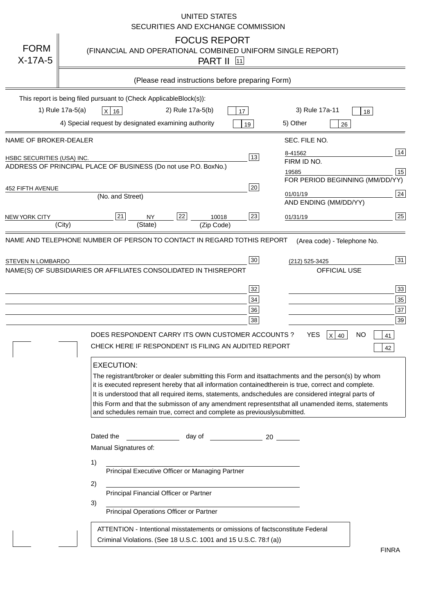|                            | <b>UNITED STATES</b><br>SECURITIES AND EXCHANGE COMMISSION                                                                                                                                                                                                                                                                                                                                                                                                                                                                               |
|----------------------------|------------------------------------------------------------------------------------------------------------------------------------------------------------------------------------------------------------------------------------------------------------------------------------------------------------------------------------------------------------------------------------------------------------------------------------------------------------------------------------------------------------------------------------------|
| <b>FORM</b><br>$X-17A-5$   | <b>FOCUS REPORT</b><br>(FINANCIAL AND OPERATIONAL COMBINED UNIFORM SINGLE REPORT)<br><b>PART II</b> [11]                                                                                                                                                                                                                                                                                                                                                                                                                                 |
|                            | (Please read instructions before preparing Form)                                                                                                                                                                                                                                                                                                                                                                                                                                                                                         |
|                            | This report is being filed pursuant to (Check Applicable<br>$Block(s)$ :<br>1) Rule 17a-5(a)<br>3) Rule 17a-11<br>2) Rule 17a-5(b)<br>$X$ 16<br>17<br>18<br>4) Special request by designated examining authority<br>5) Other<br>19<br>26                                                                                                                                                                                                                                                                                                 |
| NAME OF BROKER-DEALER      | SEC. FILE NO.                                                                                                                                                                                                                                                                                                                                                                                                                                                                                                                            |
| HSBC SECURITIES (USA) INC. | 14<br>8-41562<br>13<br>FIRM ID NO.<br>ADDRESS OF PRINCIPAL PLACE OF BUSINESS (Do not use P.O. Box<br>No.)<br>15<br>19585<br>FOR PERIOD BEGINNING (MM/DD/YY)                                                                                                                                                                                                                                                                                                                                                                              |
| <b>452 FIFTH AVENUE</b>    | 20<br> 24 <br>01/01/19<br>(No. and Street)<br>AND ENDING (MM/DD/YY)                                                                                                                                                                                                                                                                                                                                                                                                                                                                      |
| <b>NEW YORK CITY</b>       | 25<br>22<br>21<br>23<br><b>NY</b><br>10018<br>01/31/19<br>(City)<br>(State)<br>(Zip Code)                                                                                                                                                                                                                                                                                                                                                                                                                                                |
| STEVEN N LOMBARDO          | 31<br>30<br>(212) 525-3425<br>NAME(S) OF SUBSIDIARIES OR AFFILIATES CONSOLIDATED IN THIS<br><b>REPORT</b><br><b>OFFICIAL USE</b><br>$\overline{33}$<br>32<br>35<br>$34$<br>37<br>36<br>39<br>38<br>$X$ 40<br>DOES RESPONDENT CARRY ITS OWN CUSTOMER ACCOUNTS?<br>YES<br>NO<br>41<br>CHECK HERE IF RESPONDENT IS FILING AN AUDITED REPORT<br>42                                                                                                                                                                                           |
|                            | <b>EXECUTION:</b><br>The registrant/broker or dealer submitting this Form and its<br>attachments and the person(s) by whom<br>it is executed represent hereby that all information contained<br>therein is true, correct and complete.<br>It is understood that all required items, statements, and<br>schedules are considered integral parts of<br>this Form and that the submisson of any amendment represents<br>that all unamended items, statements<br>and schedules remain true, correct and complete as previously<br>submitted. |
|                            | Dated the<br>day of<br>20<br>Manual Signatures of:<br>1)                                                                                                                                                                                                                                                                                                                                                                                                                                                                                 |
|                            | Principal Executive Officer or Managing Partner<br>2)                                                                                                                                                                                                                                                                                                                                                                                                                                                                                    |
|                            | Principal Financial Officer or Partner<br>3)<br>Principal Operations Officer or Partner                                                                                                                                                                                                                                                                                                                                                                                                                                                  |
|                            | constitute Federal<br>ATTENTION - Intentional misstatements or omissions of facts<br>Criminal Violations. (See 18 U.S.C. 1001 and 15 U.S.C. 78:f (a)<br>$\lambda$<br><b>FINRA</b>                                                                                                                                                                                                                                                                                                                                                        |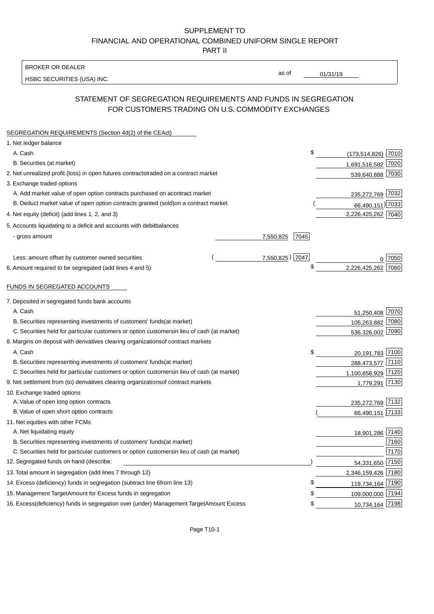BROKER OR DEALER

HSBC SECURITIES (USA) INC.

 $01/31/19$ 

as of

# STATEMENT OF SEGREGATION REQUIREMENTS AND FUNDS IN SEGREGATION FOR CUSTOMERS TRADING ON U.S. COMMODITY EXCHANGES

| SEGREGATION REQUIREMENTS (Section 4d(2) of the CEAct)                                          |                              |
|------------------------------------------------------------------------------------------------|------------------------------|
| 1. Net ledger balance                                                                          |                              |
| A. Cash                                                                                        | \$<br>$(173, 514, 826)$ 7010 |
| B. Securities (at market)                                                                      | 1,691,516,582 7020           |
| 2. Net unrealized profit (loss) in open futures contracts<br>traded on a contract market       | 539,640,888 7030             |
| 3. Exchange traded options                                                                     |                              |
| A. Add market value of open option contracts purchased on a<br>contract market                 | 235,272,769 7032             |
| B. Deduct market value of open option contracts granted (sold)<br>on a contract market         | 66,490,151) 7033             |
| 4. Net equity (deficit) (add lines 1, 2, and 3)                                                | 2,226,425,262 7040           |
| 5. Accounts liquidating to a deficit and accounts with debit<br>balances                       |                              |
| - gross amount<br>7,550,825                                                                    | 7045                         |
|                                                                                                |                              |
| Less: amount offset by customer owned securities                                               | 7,550,825) 7047<br>n 7050    |
| 6. Amount required to be segregated (add lines 4 and 5)                                        | \$<br>2,226,425,262 7060     |
|                                                                                                |                              |
| FUNDS IN SEGREGATED ACCOUNTS                                                                   |                              |
| 7. Deposited in segregated funds bank accounts                                                 |                              |
| A. Cash                                                                                        | 51,250,408 7070              |
| B. Securities representing investments of customers' funds<br>(at market)                      | 105,263,882<br>7080          |
| C. Securities held for particular customers or option customers<br>in lieu of cash (at market) | 7090<br>536,326,002          |
| 8. Margins on deposit with derivatives clearing organizations<br>of contract markets           |                              |
| A. Cash                                                                                        | \$<br>20,191,783 7100        |
| B. Securities representing investments of customers' funds<br>(at market)                      | 288,473,577 7110             |
| C. Securities held for particular customers or option customers<br>in lieu of cash (at market) | 1,100,858,929 7120           |
| 9. Net settlement from (to) derivatives clearing organizations<br>of contract markets          | 7130<br>1,779,291            |
| 10. Exchange traded options                                                                    |                              |
| A. Value of open long option contracts                                                         | 235,272,769 7132             |
| B. Value of open short option contracts                                                        | 66,490,151 7133              |
| 11. Net equities with other FCMs                                                               |                              |
| A. Net liquidating equity                                                                      | 18,901,286 7140              |
| B. Securities representing investments of customers' funds<br>(at market)                      | 7160                         |
| C. Securities held for particular customers or option customers<br>in lieu of cash (at market) | 7170                         |
| 12. Segregated funds on hand (describe:                                                        | 54,331,650 7150              |
| 13. Total amount in segregation (add lines 7 through 12)                                       | 2,346,159,426 7180           |
| 14. Excess (deficiency) funds in segregation (subtract line 6<br>from line 13)                 | \$<br>119,734,164 7190       |
| 15. Management Target Amount for Excess funds in segregation                                   | 109,000,000 7194<br>\$       |
| 16. Excess (deficiency) funds in segregation over (under) Management Target Amount Excess      | 10,734,164 7198<br>\$        |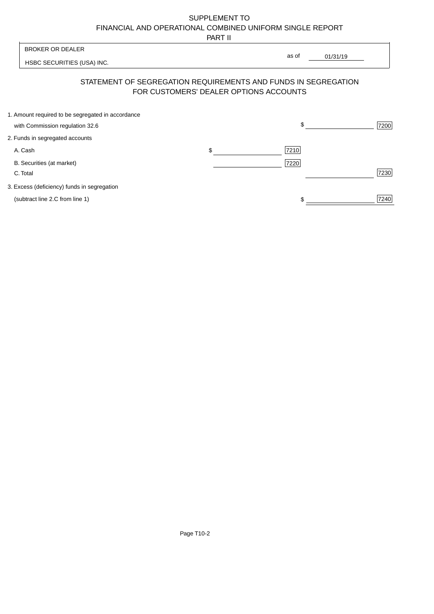PART II

| <b>BROKER OR DEALER</b>                                                                                  |       |          |
|----------------------------------------------------------------------------------------------------------|-------|----------|
| HSBC SECURITIES (USA) INC.                                                                               | as of | 01/31/19 |
| STATEMENT OF SEGREGATION REQUIREMENTS AND FUNDS IN SEGREGATION<br>FOR CUSTOMERS' DEALER OPTIONS ACCOUNTS |       |          |
| 1. Amount required to be segregated in accordance                                                        |       |          |

| with Commission regulation 32.6             |      | 7200 |
|---------------------------------------------|------|------|
| 2. Funds in segregated accounts             |      |      |
| A. Cash                                     | 7210 |      |
| B. Securities (at market)<br>C. Total       | 7220 | 7230 |
| 3. Excess (deficiency) funds in segregation |      |      |
| (subtract line 2.C from line 1)             |      | 7240 |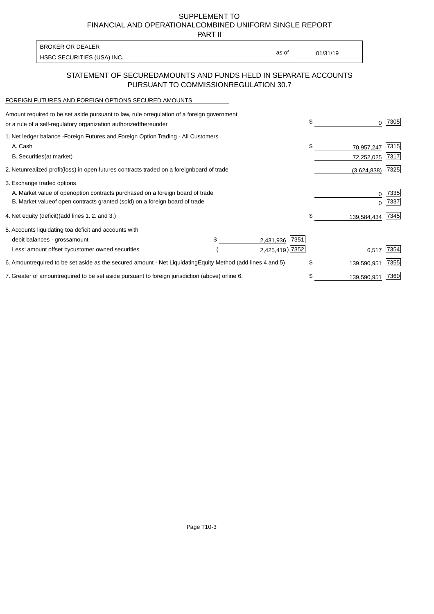PART II

HSBC SECURITIES (USA) INC. The state of the second second in the second second second in the second second second second second second second second second second second second second second second second second second sec BROKER OR DEALER

as of

### STATEMENT OF SECURED AMOUNTS AND FUNDS HELD IN SEPARATE ACCOUNTS PURSUANT TO COMMISSION REGULATION 30.7

#### FOREIGN FUTURES AND FOREIGN OPTIONS SECURED AMOUNTS

| Amount required to be set aside pursuant to law, rule or<br>regulation of a foreign government<br>or a rule of a self-regulatory organization authorized<br>thereunder |                |                                   | \$<br>0           | 7305         |
|------------------------------------------------------------------------------------------------------------------------------------------------------------------------|----------------|-----------------------------------|-------------------|--------------|
| 1. Net ledger balance - Foreign Futures and Foreign Option Trading - All Customers<br>A. Cash                                                                          |                |                                   | \$<br>70,957,247  | 7315         |
| <b>B.</b> Securities<br>(at market)                                                                                                                                    |                |                                   | 72,252,025        | 7317         |
| 2. Net unrealized profit (loss) in open futures contracts traded on a foreign                                                                                          | board of trade |                                   | (3,624,838)       | 7325         |
| 3. Exchange traded options                                                                                                                                             |                |                                   |                   |              |
| A. Market value of open option contracts purchased on a foreign board of trade<br>B. Market value of open contracts granted (sold) on a foreign board of trade         |                |                                   | 0<br><sup>0</sup> | 7335<br>7337 |
| 4. Net equity (deficit) (add lines 1.2. and 3.)                                                                                                                        |                |                                   | \$<br>139,584,434 | 7345         |
| 5. Accounts liquidating to a deficit and accounts with                                                                                                                 |                |                                   |                   |              |
| debit balances - gross<br>amount                                                                                                                                       |                | 7351<br>2,431,936                 |                   |              |
| Less: amount offset by customer owned securities                                                                                                                       |                | 2,425,419) 7352                   | 6,517             | 7354         |
| 6. Amount required to be set aside as the secured amount - Net Liquidating                                                                                             |                | Equity Method (add lines 4 and 5) | \$<br>139,590,951 | 7355         |
| 7. Greater of amount required to be set aside pursuant to foreign jurisdiction (above) or                                                                              | line 6.        |                                   | \$<br>139,590,951 | 7360         |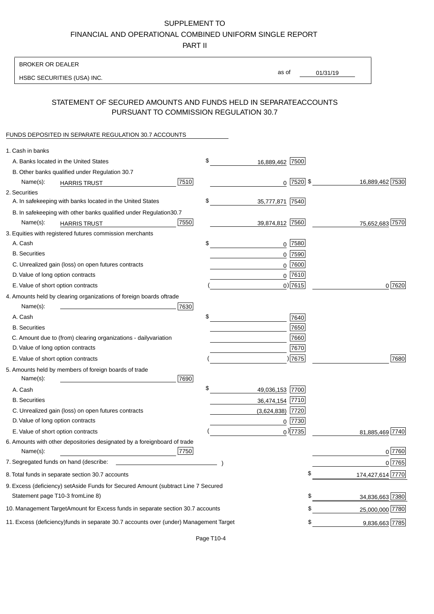PART II

| <b>BROKER OR DEALER</b>                                                                           |                       |                 |                  |
|---------------------------------------------------------------------------------------------------|-----------------------|-----------------|------------------|
| HSBC SECURITIES (USA) INC.                                                                        | as of                 | 01/31/19        |                  |
|                                                                                                   |                       |                 |                  |
| STATEMENT OF SECURED AMOUNTS AND FUNDS HELD IN SEPARATE<br>PURSUANT TO COMMISSION REGULATION 30.7 |                       | <b>ACCOUNTS</b> |                  |
| FUNDS DEPOSITED IN SEPARATE REGULATION 30.7 ACCOUNTS                                              |                       |                 |                  |
| 1. Cash in banks                                                                                  |                       |                 |                  |
| A. Banks located in the United States                                                             | \$<br>16,889,462 7500 |                 |                  |
| B. Other banks qualified under Regulation 30.7                                                    |                       |                 |                  |
| 7510<br>Name(s):<br><b>HARRIS TRUST</b>                                                           | $0$   7520   \$       |                 | 16,889,462 7530  |
| 2. Securities                                                                                     |                       |                 |                  |
| A. In safekeeping with banks located in the United States                                         | \$<br>35,777,871 7540 |                 |                  |
| B. In safekeeping with other banks qualified under Regulation<br>30.7                             |                       |                 |                  |
| 7550<br>Name(s):<br><b>HARRIS TRUST</b>                                                           | 39,874,812 7560       |                 | 75,652,683 7570  |
| 3. Equities with registered futures commission merchants                                          |                       |                 |                  |
| A. Cash                                                                                           | \$<br>$0$ 7580        |                 |                  |
| <b>B.</b> Securities                                                                              | 7590<br>0             |                 |                  |
| C. Unrealized gain (loss) on open futures contracts                                               | 7600<br>$\mathbf 0$   |                 |                  |
| D. Value of long option contracts                                                                 | $0$ 7610              |                 |                  |
| E. Value of short option contracts                                                                | $0)$ 7615             |                 | 0 7620           |
| 4. Amounts held by clearing organizations of foreign boards of<br>trade                           |                       |                 |                  |
| Name(s):<br>7630                                                                                  |                       |                 |                  |
| A. Cash                                                                                           | \$<br>7640            |                 |                  |
| <b>B.</b> Securities                                                                              | 7650                  |                 |                  |
| C. Amount due to (from) clearing organizations - daily<br>variation                               | 7660                  |                 |                  |
| D. Value of long option contracts                                                                 | 7670                  |                 |                  |
| E. Value of short option contracts                                                                | ) 7675                |                 | 7680             |
| 5. Amounts held by members of foreign boards of trade<br>Name(s):<br>7690                         |                       |                 |                  |
| A. Cash                                                                                           | \$<br>49,036,153 7700 |                 |                  |
| <b>B.</b> Securities                                                                              | 36,474,154 7710       |                 |                  |
| C. Unrealized gain (loss) on open futures contracts                                               | $(3,624,838)$ 7720    |                 |                  |
| D. Value of long option contracts                                                                 | 0 7730                |                 |                  |
| E. Value of short option contracts                                                                | $_0$ ) 7735           |                 | 81,885,469 7740  |
| 6. Amounts with other depositories designated by a foreign<br>board of trade<br>7750<br>Name(s):  |                       |                 | 0 7760           |
| 7. Segregated funds on hand (describe:                                                            |                       |                 | 0 7765           |
| 8. Total funds in separate section 30.7 accounts                                                  |                       | \$              | 174,427,614 7770 |
| 9. Excess (deficiency) set Aside Funds for Secured Amount (subtract Line 7 Secured                |                       |                 |                  |
| Statement page T10-3 from Line 8)                                                                 |                       | \$              | 34,836,663 7380  |
| 10. Management Target Amount for Excess funds in separate section 30.7 accounts                   |                       | \$              | 25,000,000 7780  |
| 11. Excess (deficiency) funds in separate 30.7 accounts over (under) Management Target            |                       | \$              |                  |
|                                                                                                   |                       |                 | 9,836,663 7785   |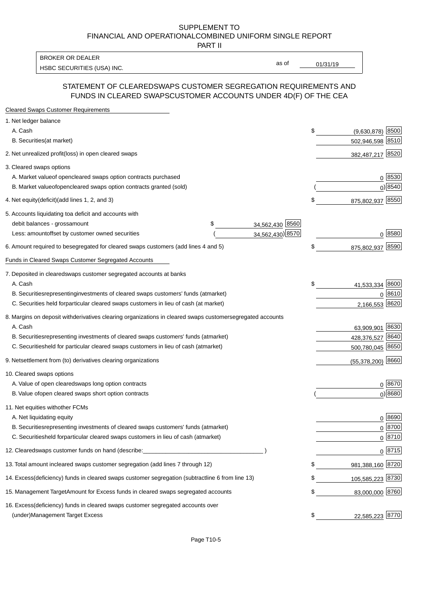PART II

HSBC SECURITIES (USA) INC. The contract of the contract of the contract of the contract of the contract of the contract of the contract of the contract of the contract of the contract of the contract of the contract of the BROKER OR DEALER

as of

#### STATEMENT OF CLEARED SWAPS CUSTOMER SEGREGATION REQUIREMENTS AND FUNDS IN CLEARED SWAPS CUSTOMER ACCOUNTS UNDER 4D(F) OF THE CEA

| <b>Cleared Swaps Customer Requirements</b>                                                                  |                           |
|-------------------------------------------------------------------------------------------------------------|---------------------------|
| 1. Net ledger balance                                                                                       |                           |
| A. Cash                                                                                                     | \$<br>8500<br>(9,630,878) |
| B. Securities (at market)                                                                                   | 502,946,598<br>8510       |
| 2. Net unrealized profit (loss) in open cleared swaps                                                       | 382,487,217 8520          |
| 3. Cleared swaps options                                                                                    |                           |
| A. Market value of open cleared swaps option contracts purchased                                            | $0^{8530}$                |
| B. Market value of open cleared swaps option contracts granted (sold)                                       | $0)$ 8540                 |
| 4. Net equity (deficit) (add lines 1, 2, and 3)                                                             | \$<br>875,802,937 8550    |
| 5. Accounts liquidating to a deficit and accounts with                                                      |                           |
| 34,562,430 8560<br>debit balances - gross<br>\$<br>amount                                                   |                           |
| 34,562,430) 8570<br>Less: amount offset by customer owned securities                                        | 0 8580                    |
| 6. Amount required to be segregated for cleared swaps customers (add lines 4 and 5)                         | \$<br>8590<br>875,802,937 |
| <b>Funds in Cleared Swaps Customer Segregated Accounts</b>                                                  |                           |
| 7. Deposited in cleared swaps customer segregated accounts at banks                                         |                           |
| A. Cash                                                                                                     | \$<br> 8600<br>41,533,334 |
| B. Securities representing investments of cleared swaps customers' funds (at market)                        | 8610<br>$\Omega$          |
| C. Securities held for particular cleared swaps customers in lieu of cash (at market)                       | 8620<br>2,166,553         |
| 8. Margins on deposit with derivatives clearing organizations in cleared swaps customer segregated accounts |                           |
| A. Cash                                                                                                     | 63,909,901 8630           |
| representing investments of cleared swaps customers' funds (at market)<br><b>B.</b> Securities              | 8640<br>428,376,527       |
| held for particular cleared swaps customers in lieu of cash (at market)<br>C. Securities                    | 500,780,045 8650          |
| 9. Net settlement from (to) derivatives clearing organizations                                              | $(55,378,200)$ 8660       |
| 10. Cleared swaps options                                                                                   |                           |
| A. Value of open cleared swaps long option contracts                                                        | $0^{8670}$                |
| B. Value of open cleared swaps short option contracts                                                       | $0)$ 8680                 |
| 11. Net equities with other FCMs                                                                            |                           |
| A. Net liquidating equity                                                                                   | $0^{8690}$                |
| B. Securities representing investments of cleared swaps customers' funds (at market)                        | $0^{8700}$                |
| C. Securities held for particular cleared swaps customers in lieu of cash (at market)                       | 0 8710                    |
| 12. Cleared swaps customer funds on hand (describe:                                                         | $0 \, 8715$               |
| 13. Total amount in cleared swaps customer segregation (add lines 7 through 12)                             | \$<br>981,388,160 8720    |
| 14. Excess (deficiency) funds in cleared swaps customer segregation (subtract line 6 from line 13)          | 105,585,223 8730          |
| 15. Management Target Amount for Excess funds in cleared swaps segregated accounts                          | \$<br>83,000,000 8760     |
| 16. Excess<br>(deficiency) funds in cleared swaps customer segregated accounts over                         |                           |
| <b>Management Target Excess</b><br>(under)                                                                  | \$<br>22,585,223 8770     |